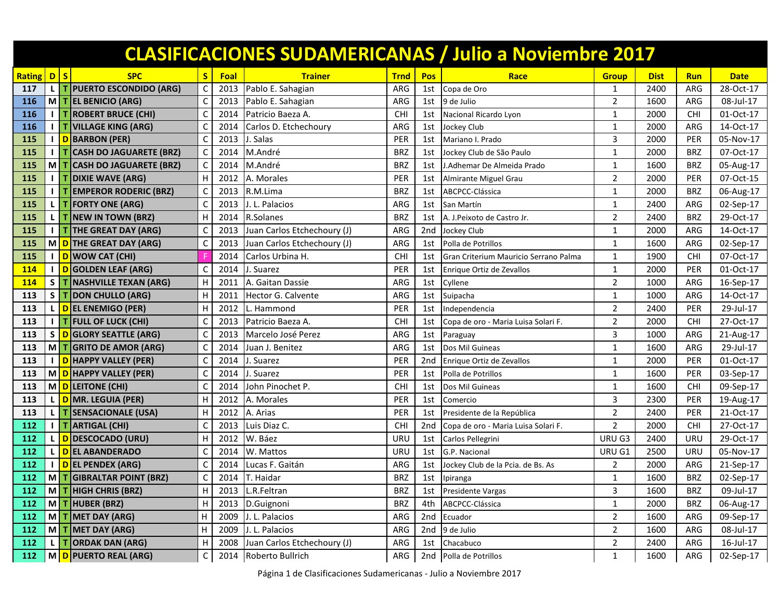|               |              |           |                                |   |             |                             |             |                 | <b>CLASIFICACIONES SUDAMERICANAS / Julio a Noviembre 2017</b> |                |             |            |             |
|---------------|--------------|-----------|--------------------------------|---|-------------|-----------------------------|-------------|-----------------|---------------------------------------------------------------|----------------|-------------|------------|-------------|
| <b>Rating</b> | $\mathsf{D}$ | $\vert$ s | <b>SPC</b>                     | S | <b>Foal</b> | <b>Trainer</b>              | <b>Trnd</b> | <b>Pos</b>      | Race                                                          | <b>Group</b>   | <b>Dist</b> | <b>Run</b> | <b>Date</b> |
| 117           |              |           | L   T   PUERTO ESCONDIDO (ARG) | C | 2013        | Pablo E. Sahagian           | ARG         | 1st             | Copa de Oro                                                   | $\mathbf{1}$   | 2400        | ARG        | 28-Oct-17   |
| 116           |              |           | M   T   EL BENICIO (ARG)       | C | 2013        | Pablo E. Sahagian           | ARG         | 1st             | 9 de Julio                                                    | $\overline{2}$ | 1600        | ARG        | 08-Jul-17   |
| 116           |              |           | T ROBERT BRUCE (CHI)           | C | 2014        | Patricio Baeza A.           | <b>CHI</b>  | 1st             | Nacional Ricardo Lyon                                         | 1              | 2000        | <b>CHI</b> | 01-Oct-17   |
| 116           |              |           | <b>T VILLAGE KING (ARG)</b>    | C | 2014        | Carlos D. Etchechoury       | ARG         | 1st             | Jockey Club                                                   | $\mathbf{1}$   | 2000        | ARG        | 14-Oct-17   |
| 115           |              |           | D BARBON (PER)                 | C | 2013        | I. Salas                    | PER         | 1st             | Mariano I. Prado                                              | 3              | 2000        | PER        | 05-Nov-17   |
| 115           |              |           | <b>CASH DO JAGUARETE (BRZ)</b> | C | 2014        | M.André                     | <b>BRZ</b>  | 1st             | Jockey Club de São Paulo                                      | 1              | 2000        | <b>BRZ</b> | 07-Oct-17   |
| 115           | М            |           | T CASH DO JAGUARETE (BRZ)      | C | 2014        | M.André                     | <b>BRZ</b>  | 1st             | <b>J.Adhemar De Almeida Prado</b>                             | $\mathbf{1}$   | 1600        | <b>BRZ</b> | 05-Aug-17   |
| 115           |              |           | <b>DIXIE WAVE (ARG)</b>        | H | 2012        | A. Morales                  | PER         | 1st             | Almirante Miguel Grau                                         | $\overline{2}$ | 2000        | PER        | 07-Oct-15   |
| <b>115</b>    |              |           | T EMPEROR RODERIC (BRZ)        | C | 2013        | R.M.Lima                    | <b>BRZ</b>  | 1st             | ABCPCC-Clássica                                               | 1              | 2000        | <b>BRZ</b> | 06-Aug-17   |
| 115           |              |           | <b>T FORTY ONE (ARG)</b>       | C | 2013        | .L. Palacios                | ARG         | 1st             | San Martín                                                    | 1              | 2400        | ARG        | 02-Sep-17   |
| 115           |              |           | T NEW IN TOWN (BRZ)            | н | 2014        | R.Solanes                   | <b>BRZ</b>  | 1st             | A. J. Peixoto de Castro Jr.                                   | $\overline{2}$ | 2400        | <b>BRZ</b> | 29-Oct-17   |
| 115           |              |           | T THE GREAT DAY (ARG)          | C | 2013        | Juan Carlos Etchechoury (J) | ARG         | 2nd             | Jockey Club                                                   | $\mathbf{1}$   | 2000        | ARG        | 14-Oct-17   |
| 115           |              |           | M D THE GREAT DAY (ARG)        | C | 2013        | Juan Carlos Etchechoury (J) | ARG         | 1st             | Polla de Potrillos                                            | $\mathbf{1}$   | 1600        | ARG        | 02-Sep-17   |
| 115           |              |           | D WOW CAT (CHI)                |   | 2014        | Carlos Urbina H.            | <b>CHI</b>  | 1st             | Gran Criterium Mauricio Serrano Palma                         | 1              | 1900        | <b>CHI</b> | 07-Oct-17   |
| 114           |              |           | D GOLDEN LEAF (ARG)            | C | 2014        | . Suarez                    | PER         | 1st             | Enrique Ortiz de Zevallos                                     | $\mathbf{1}$   | 2000        | PER        | 01-Oct-17   |
| 114           | S.           |           | <b>T NASHVILLE TEXAN (ARG)</b> | н | 2011        | A. Gaitan Dassie            | ARG         | 1st             | Cyllene                                                       | $\overline{2}$ | 1000        | ARG        | 16-Sep-17   |
| 113           | S.           |           | T DON CHULLO (ARG)             | Н | 2011        | Hector G. Calvente          | ARG         | 1st             | Suipacha                                                      | $\mathbf{1}$   | 1000        | ARG        | 14-Oct-17   |
| 113           |              |           | L D EL ENEMIGO (PER)           | н | 2012        | Hammond                     | PER         | 1st             | Independencia                                                 | $\overline{2}$ | 2400        | PER        | 29-Jul-17   |
| 113           |              |           | T FULL OF LUCK (CHI)           | C | 2013        | Patricio Baeza A.           | <b>CHI</b>  | 1st             | Copa de oro - Maria Luisa Solari F.                           | $\overline{2}$ | 2000        | <b>CHI</b> | 27-Oct-17   |
| 113           | S            |           | D GLORY SEATTLE (ARG)          | C | 2013        | Marcelo José Perez          | ARG         | 1st             | Paraguay                                                      | 3              | 1000        | ARG        | 21-Aug-17   |
| 113           | мI           |           | <b>GRITO DE AMOR (ARG)</b>     | C | 2014        | Juan J. Benitez             | ARG         | 1st             | Dos Mil Guineas                                               | 1              | 1600        | ARG        | 29-Jul-17   |
| 113           |              |           | D HAPPY VALLEY (PER)           | C | 2014        | . Suarez                    | PER         | 2nd             | Enrique Ortiz de Zevallos                                     | $\mathbf{1}$   | 2000        | <b>PER</b> | 01-Oct-17   |
| 113           |              |           | M D HAPPY VALLEY (PER)         | C | 2014        | . Suarez                    | PER         | 1st             | Polla de Potrillos                                            | 1              | 1600        | PER        | 03-Sep-17   |
| 113           |              |           | M D LEITONE (CHI)              | C | 2014        | John Pinochet P.            | <b>CHI</b>  | 1st             | Dos Mil Guineas                                               | 1              | 1600        | <b>CHI</b> | 09-Sep-17   |
| 113           |              |           | D MR. LEGUIA (PER)             | н | 2012        | A. Morales                  | PER         | 1st             | Comercio                                                      | 3              | 2300        | PER        | 19-Aug-17   |
| 113           |              |           | <b>SENSACIONALE (USA)</b>      | Н | 2012        | A. Arias                    | PER         | 1st             | Presidente de la República                                    | $\overline{2}$ | 2400        | PER        | 21-Oct-17   |
| 112           |              |           | <b>ARTIGAL (CHI)</b>           | C | 2013        | Luis Diaz C.                | <b>CHI</b>  | 2 <sub>nd</sub> | Copa de oro - Maria Luisa Solari F.                           | $\overline{2}$ | 2000        | CHI        | 27-Oct-17   |
| 112           |              |           | D DESCOCADO (URU)              | н | 2012        | W. Báez                     | URU         | 1st             | Carlos Pellegrini                                             | URU G3         | 2400        | URU        | 29-Oct-17   |
| 112           |              |           | <b>DEL ABANDERADO</b>          | C | 2014        | W. Mattos                   | URU         | 1st             | G.P. Nacional                                                 | URU G1         | 2500        | URU        | 05-Nov-17   |
| 112           |              |           | D EL PENDEX (ARG)              | C | 2014        | Lucas F. Gaitán             | ARG         | 1st             | Jockey Club de la Pcia. de Bs. As                             | $\overline{2}$ | 2000        | ARG        | 21-Sep-17   |
| 112           |              |           | M T GIBRALTAR POINT (BRZ)      | C | 2014        | T. Haidar                   | <b>BRZ</b>  |                 | 1st Ipiranga                                                  | -1             | 1600        | <b>BRZ</b> | 02-Sep-17   |
| 112           |              |           | M T HIGH CHRIS (BRZ)           | Н | 2013        | L.R.Feltran                 | <b>BRZ</b>  | 1st             | Presidente Vargas                                             | 3              | 1600        | <b>BRZ</b> | 09-Jul-17   |
| 112           |              |           | M T HUBER (BRZ)                | H |             | 2013 D.Guignoni             | <b>BRZ</b>  | 4th             | ABCPCC-Clássica                                               | $\mathbf{1}$   | 2000        | <b>BRZ</b> | 06-Aug-17   |
| 112           |              |           | M   T   MET DAY (ARG)          | н | 2009        | J. L. Palacios              | ARG         | 2nd             | Ecuador                                                       | $\mathbf 2$    | 1600        | ARG        | 09-Sep-17   |
| 112           |              |           | M   T   MET DAY (ARG)          | н | 2009        | J. L. Palacios              | ARG         | 2nd             | 9 de Julio                                                    | 2              | 1600        | ARG        | 08-Jul-17   |
| 112           |              |           | T ORDAK DAN (ARG)              | Н | 2008        | Juan Carlos Etchechoury (J) | ARG         | 1st             | Chacabuco                                                     | $\mathbf 2$    | 2400        | ARG        | 16-Jul-17   |
| 112           |              |           | M D PUERTO REAL (ARG)          | C | 2014        | Roberto Bullrich            | ARG         | 2nd             | Polla de Potrillos                                            | 1              | 1600        | ARG        | 02-Sep-17   |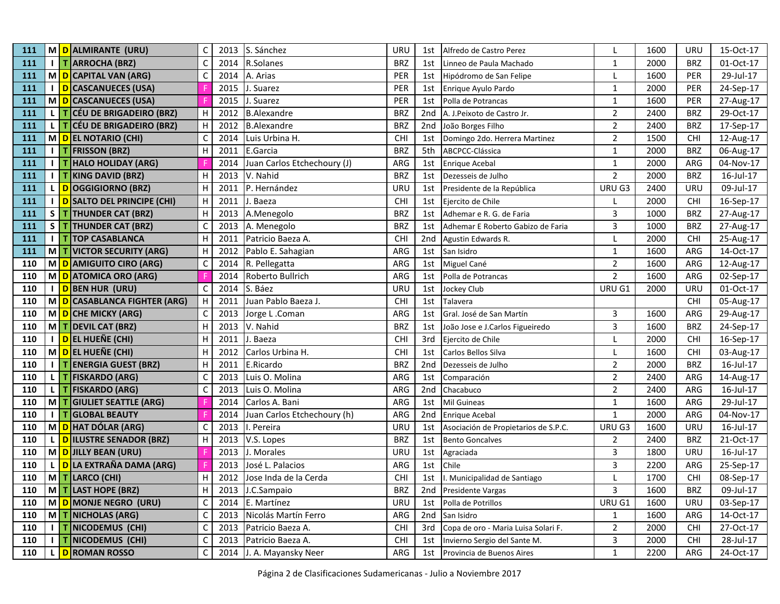| 111 |              | M D ALMIRANTE (URU)                     | C            | 2013 | S. Sánchez                  | URU        | 1st             | Alfredo de Castro Perez              |                | 1600 | URU        | 15-Oct-17 |
|-----|--------------|-----------------------------------------|--------------|------|-----------------------------|------------|-----------------|--------------------------------------|----------------|------|------------|-----------|
| 111 |              | <b>I</b> T ARROCHA (BRZ)                | C            | 2014 | R.Solanes                   | <b>BRZ</b> | 1st             | Linneo de Paula Machado              | $\mathbf 1$    | 2000 | <b>BRZ</b> | 01-Oct-17 |
| 111 |              | M D CAPITAL VAN (ARG)                   | $\mathsf{C}$ | 2014 | A. Arias                    | <b>PER</b> | 1st             | Hipódromo de San Felipe              |                | 1600 | <b>PER</b> | 29-Jul-17 |
| 111 | $\mathbf{L}$ | D CASCANUECES (USA)                     |              | 2015 | J. Suarez                   | <b>PER</b> | 1st             | Enrique Ayulo Pardo                  | $\mathbf{1}$   | 2000 | <b>PER</b> | 24-Sep-17 |
| 111 |              | M D CASCANUECES (USA)                   |              | 2015 | . Suarez                    | PER        | 1st             | Polla de Potrancas                   | $\mathbf{1}$   | 1600 | <b>PER</b> | 27-Aug-17 |
| 111 |              | L   T CÉU DE BRIGADEIRO (BRZ)           | н            | 2012 | <b>B.Alexandre</b>          | <b>BRZ</b> | 2 <sub>nd</sub> | A. J.Peixoto de Castro Jr.           | $\overline{2}$ | 2400 | <b>BRZ</b> | 29-Oct-17 |
| 111 |              | L   T CÉU DE BRIGADEIRO (BRZ)           | Н            | 2012 | <b>B.Alexandre</b>          | <b>BRZ</b> | 2nd             | João Borges Filho                    | $\overline{2}$ | 2400 | <b>BRZ</b> | 17-Sep-17 |
| 111 |              | M D EL NOTARIO (CHI)                    | C            | 2014 | Luis Urbina H.              | <b>CHI</b> | 1st             | Domingo 2do. Herrera Martinez        | $\overline{2}$ | 1500 | <b>CHI</b> | 12-Aug-17 |
| 111 |              | <b>I</b>   T   FRISSON (BRZ)            | H            | 2011 | E.Garcia                    | <b>BRZ</b> | 5th             | ABCPCC-Clássica                      | $\mathbf 1$    | 2000 | <b>BRZ</b> | 06-Aug-17 |
| 111 | I I T        | <b>HALO HOLIDAY (ARG)</b>               |              | 2014 | Juan Carlos Etchechoury (J) | ARG        | 1st             | Enrique Acebal                       | $\mathbf 1$    | 2000 | ARG        | 04-Nov-17 |
| 111 | $1$ I T      | <b>KING DAVID (BRZ)</b>                 | н            | 2013 | V. Nahid                    | <b>BRZ</b> | 1st             | Dezesseis de Julho                   | $\overline{2}$ | 2000 | <b>BRZ</b> | 16-Jul-17 |
| 111 |              | L DOGGIGIORNO (BRZ)                     | H            | 2011 | P. Hernández                | URU        | 1st             | Presidente de la República           | URU G3         | 2400 | URU        | 09-Jul-17 |
| 111 | $\mathbf{L}$ | D SALTO DEL PRINCIPE (CHI)              | H            | 2011 | J. Baeza                    | CHI        | 1st             | Ejercito de Chile                    | L              | 2000 | <b>CHI</b> | 16-Sep-17 |
| 111 |              | S   T   THUNDER CAT (BRZ)               | H            | 2013 | A.Menegolo                  | <b>BRZ</b> | 1st             | Adhemar e R. G. de Faria             | 3              | 1000 | <b>BRZ</b> | 27-Aug-17 |
| 111 | $S$   T      | <b>THUNDER CAT (BRZ)</b>                | C            | 2013 | A. Menegolo                 | <b>BRZ</b> | 1st             | Adhemar E Roberto Gabizo de Faria    | $\overline{3}$ | 1000 | <b>BRZ</b> | 27-Aug-17 |
| 111 | 11T          | <b>TOP CASABLANCA</b>                   | H            | 2011 | Patricio Baeza A.           | CHI        | 2nd             | Agustin Edwards R.                   | L              | 2000 | <b>CHI</b> | 25-Aug-17 |
| 111 |              | M   T   VICTOR SECURITY (ARG)           | H            | 2012 | Pablo E. Sahagian           | ARG        | 1st             | San Isidro                           | $\mathbf{1}$   | 1600 | ARG        | 14-Oct-17 |
| 110 |              | M D AMIGUITO CIRO (ARG)                 | C            | 2014 | R. Pellegatta               | ARG        | 1st             | Miguel Cané                          | $\overline{2}$ | 1600 | ARG        | 12-Aug-17 |
| 110 | M            | D ATOMICA ORO (ARG)                     |              | 2014 | Roberto Bullrich            | ARG        | 1st             | Polla de Potrancas                   | $\overline{2}$ | 1600 | ARG        | 02-Sep-17 |
| 110 |              | I D BEN HUR (URU)                       | C            | 2014 | S. Báez                     | <b>URU</b> | 1st             | Jockey Club                          | URU G1         | 2000 | URU        | 01-Oct-17 |
| 110 |              | M D CASABLANCA FIGHTER (ARG)            | H            | 2011 | Juan Pablo Baeza J.         | <b>CHI</b> | 1st             | Talavera                             |                |      | <b>CHI</b> | 05-Aug-17 |
| 110 |              | M D CHE MICKY (ARG)                     | C            | 2013 | Jorge L.Coman               | ARG        | 1st             | Gral. José de San Martín             | 3              | 1600 | ARG        | 29-Aug-17 |
| 110 |              | M   T DEVIL CAT (BRZ)                   | H            | 2013 | V. Nahid                    | <b>BRZ</b> | 1st             | João Jose e J.Carlos Figueiredo      | 3              | 1600 | <b>BRZ</b> | 24-Sep-17 |
| 110 |              | I DEL HUEÑE (CHI)                       | H            | 2011 | J. Baeza                    | CHI        | 3rd             | Ejercito de Chile                    |                | 2000 | <b>CHI</b> | 16-Sep-17 |
| 110 |              | M D EL HUEÑE (CHI)                      | H            | 2012 | Carlos Urbina H.            | CHI        | 1st             | Carlos Bellos Silva                  | L              | 1600 | <b>CHI</b> | 03-Aug-17 |
| 110 |              | <b>TENERGIA GUEST (BRZ)</b>             | H            | 2011 | E.Ricardo                   | <b>BRZ</b> | 2nd             | Dezesseis de Julho                   | $\overline{2}$ | 2000 | <b>BRZ</b> | 16-Jul-17 |
| 110 | LIT          | <b>FISKARDO (ARG)</b>                   | C            | 2013 | Luis O. Molina              | ARG        | 1st             | Comparación                          | $\overline{2}$ | 2400 | ARG        | 14-Aug-17 |
| 110 | LIT          | <b>FISKARDO (ARG)</b>                   | C            | 2013 | Luis O. Molina              | ARG        | 2 <sub>nd</sub> | Chacabuco                            | $\overline{2}$ | 2400 | ARG        | 16-Jul-17 |
| 110 |              | M T GIULIET SEATTLE (ARG)               |              | 2014 | Carlos A. Bani              | ARG        | 1st             | Mil Guineas                          | $\mathbf{1}$   | 1600 | ARG        | 29-Jul-17 |
| 110 | <b>IIT</b>   | <b>GLOBAL BEAUTY</b>                    |              | 2014 | Juan Carlos Etchechoury (h) | ARG        | 2nd             | Enrique Acebal                       | $\mathbf{1}$   | 2000 | ARG        | 04-Nov-17 |
| 110 |              | M D HAT DÓLAR (ARG)                     | C            | 2013 | I. Pereira                  | <b>URU</b> | 1st             | Asociación de Propietarios de S.P.C. | URU G3         | 1600 | URU        | 16-Jul-17 |
| 110 |              | L D ILUSTRE SENADOR (BRZ)               | Н            | 2013 | V.S. Lopes                  | <b>BRZ</b> | 1st             | <b>Bento Goncalves</b>               | $\overline{2}$ | 2400 | <b>BRZ</b> | 21-Oct-17 |
| 110 |              | M D JILLY BEAN (URU)                    |              | 2013 | J. Morales                  | <b>URU</b> | 1st             | Agraciada                            | 3              | 1800 | URU        | 16-Jul-17 |
| 110 | L.           | <mark>  D </mark> LA EXTRAÑA DAMA (ARG) |              | 2013 | José L. Palacios            | ARG        | 1st             | Chile                                | 3              | 2200 | ARG        | 25-Sep-17 |
| 110 |              | M T LARCO (CHI)                         | H            | 2012 | Jose Inda de la Cerda       | <b>CHI</b> | 1st             | . Municipalidad de Santiago          |                | 1700 | <b>CHI</b> | 08-Sep-17 |
| 110 |              | M T LAST HOPE (BRZ)                     | H            | 2013 | J.C.Sampaio                 | <b>BRZ</b> | 2nd             | Presidente Vargas                    | $\overline{3}$ | 1600 | <b>BRZ</b> | 09-Jul-17 |
| 110 |              | M D MONJE NEGRO (URU)                   | C            | 2014 | E. Martínez                 | <b>URU</b> | 1st             | Polla de Potrillos                   | URU G1         | 1600 | URU        | 03-Sep-17 |
| 110 | M T          | <b>NICHOLAS (ARG)</b>                   | $\mathsf{C}$ | 2013 | Nicolás Martín Ferro        | ARG        | 2nd             | San Isidro                           | $\mathbf 1$    | 1600 | ARG        | 14-Oct-17 |
| 110 | T.           | NICODEMUS (CHI)                         | C            | 2013 | Patricio Baeza A.           | <b>CHI</b> | 3rd             | Copa de oro - Maria Luisa Solari F.  | $\overline{2}$ | 2000 | <b>CHI</b> | 27-Oct-17 |
| 110 | $\mathbf{I}$ | NICODEMUS (CHI)                         | C            | 2013 | Patricio Baeza A.           | <b>CHI</b> | 1st             | Invierno Sergio del Sante M.         | 3              | 2000 | <b>CHI</b> | 28-Jul-17 |
| 110 | L.           | <b>D</b> ROMAN ROSSO                    | C            | 2014 | J. A. Mayansky Neer         | ARG        | 1st             | Provincia de Buenos Aires            | $\mathbf 1$    | 2200 | ARG        | 24-Oct-17 |